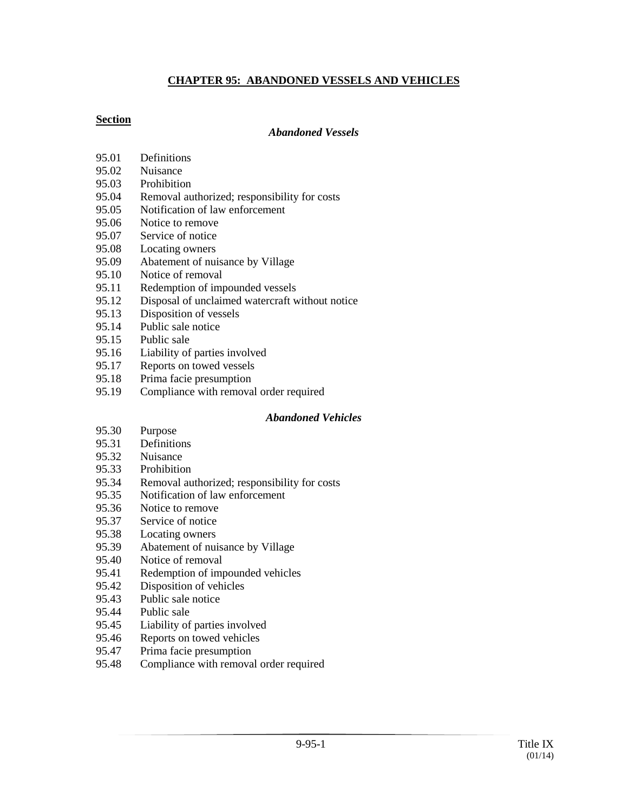### **CHAPTER 95: ABANDONED VESSELS AND VEHICLES**

## **Section**

#### *Abandoned Vessels*

- 95.01 Definitions
- 95.02 Nuisance
- 95.03 Prohibition
- 95.04 Removal authorized; responsibility for costs
- 95.05 Notification of law enforcement
- 95.06 Notice to remove
- 95.07 Service of notice
- 95.08 Locating owners
- 95.09 Abatement of nuisance by Village
- 95.10 Notice of removal
- 95.11 Redemption of impounded vessels
- 95.12 Disposal of unclaimed watercraft without notice
- 95.13 Disposition of vessels
- 95.14 Public sale notice
- 95.15 Public sale
- 95.16 Liability of parties involved
- 95.17 Reports on towed vessels
- 95.18 Prima facie presumption
- 95.19 Compliance with removal order required

#### *Abandoned Vehicles*

- 95.30 Purpose
- 95.31 Definitions
- 95.32 Nuisance
- 95.33 Prohibition
- 95.34 Removal authorized; responsibility for costs
- 95.35 Notification of law enforcement
- 95.36 Notice to remove
- 95.37 Service of notice
- 95.38 Locating owners
- 95.39 Abatement of nuisance by Village
- 95.40 Notice of removal
- 95.41 Redemption of impounded vehicles
- 95.42 Disposition of vehicles
- 95.43 Public sale notice
- 95.44 Public sale
- 95.45 Liability of parties involved
- 95.46 Reports on towed vehicles
- 95.47 Prima facie presumption
- 95.48 Compliance with removal order required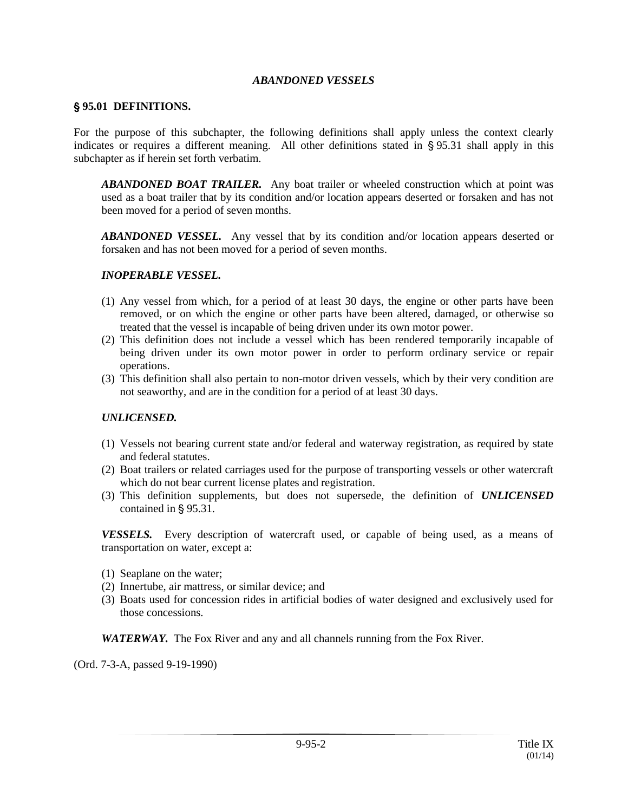#### *ABANDONED VESSELS*

#### ' **95.01 DEFINITIONS.**

For the purpose of this subchapter, the following definitions shall apply unless the context clearly indicates or requires a different meaning. All other definitions stated in  $\S$ 95.31 shall apply in this subchapter as if herein set forth verbatim.

*ABANDONED BOAT TRAILER.* Any boat trailer or wheeled construction which at point was used as a boat trailer that by its condition and/or location appears deserted or forsaken and has not been moved for a period of seven months.

**ABANDONED VESSEL.** Any vessel that by its condition and/or location appears deserted or forsaken and has not been moved for a period of seven months.

#### *INOPERABLE VESSEL.*

- (1) Any vessel from which, for a period of at least 30 days, the engine or other parts have been removed, or on which the engine or other parts have been altered, damaged, or otherwise so treated that the vessel is incapable of being driven under its own motor power.
- (2) This definition does not include a vessel which has been rendered temporarily incapable of being driven under its own motor power in order to perform ordinary service or repair operations.
- (3) This definition shall also pertain to non-motor driven vessels, which by their very condition are not seaworthy, and are in the condition for a period of at least 30 days.

#### *UNLICENSED.*

- (1) Vessels not bearing current state and/or federal and waterway registration, as required by state and federal statutes.
- (2) Boat trailers or related carriages used for the purpose of transporting vessels or other watercraft which do not bear current license plates and registration.
- (3) This definition supplements, but does not supersede, the definition of *UNLICENSED* contained in  $\S$  95.31.

*VESSELS.* Every description of watercraft used, or capable of being used, as a means of transportation on water, except a:

- (1) Seaplane on the water;
- (2) Innertube, air mattress, or similar device; and
- (3) Boats used for concession rides in artificial bodies of water designed and exclusively used for those concessions.

*WATERWAY.* The Fox River and any and all channels running from the Fox River.

(Ord. 7-3-A, passed 9-19-1990)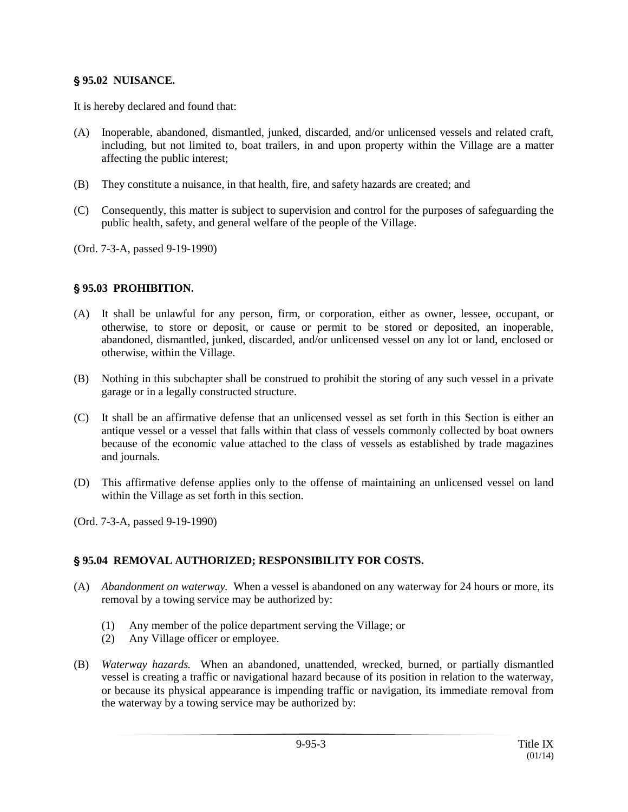### ' **95.02 NUISANCE.**

It is hereby declared and found that:

- (A) Inoperable, abandoned, dismantled, junked, discarded, and/or unlicensed vessels and related craft, including, but not limited to, boat trailers, in and upon property within the Village are a matter affecting the public interest;
- (B) They constitute a nuisance, in that health, fire, and safety hazards are created; and
- (C) Consequently, this matter is subject to supervision and control for the purposes of safeguarding the public health, safety, and general welfare of the people of the Village.
- (Ord. 7-3-A, passed 9-19-1990)

### ' **95.03 PROHIBITION.**

- (A) It shall be unlawful for any person, firm, or corporation, either as owner, lessee, occupant, or otherwise, to store or deposit, or cause or permit to be stored or deposited, an inoperable, abandoned, dismantled, junked, discarded, and/or unlicensed vessel on any lot or land, enclosed or otherwise, within the Village.
- (B) Nothing in this subchapter shall be construed to prohibit the storing of any such vessel in a private garage or in a legally constructed structure.
- (C) It shall be an affirmative defense that an unlicensed vessel as set forth in this Section is either an antique vessel or a vessel that falls within that class of vessels commonly collected by boat owners because of the economic value attached to the class of vessels as established by trade magazines and journals.
- (D) This affirmative defense applies only to the offense of maintaining an unlicensed vessel on land within the Village as set forth in this section.

(Ord. 7-3-A, passed 9-19-1990)

#### ' **95.04 REMOVAL AUTHORIZED; RESPONSIBILITY FOR COSTS.**

- (A) *Abandonment on waterway.* When a vessel is abandoned on any waterway for 24 hours or more, its removal by a towing service may be authorized by:
	- (1) Any member of the police department serving the Village; or
	- (2) Any Village officer or employee.
- (B) *Waterway hazards.* When an abandoned, unattended, wrecked, burned, or partially dismantled vessel is creating a traffic or navigational hazard because of its position in relation to the waterway, or because its physical appearance is impending traffic or navigation, its immediate removal from the waterway by a towing service may be authorized by: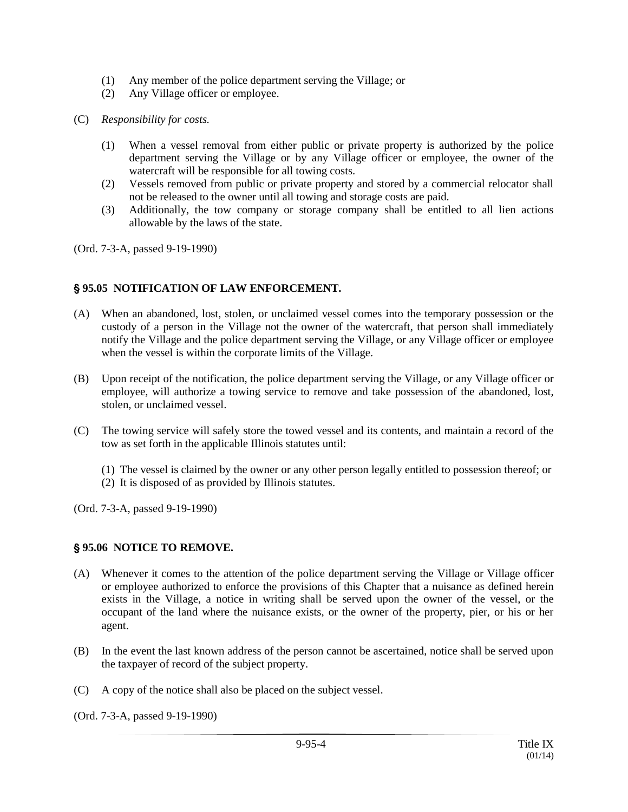- (1) Any member of the police department serving the Village; or
- (2) Any Village officer or employee.
- (C) *Responsibility for costs.*
	- (1) When a vessel removal from either public or private property is authorized by the police department serving the Village or by any Village officer or employee, the owner of the watercraft will be responsible for all towing costs.
	- (2) Vessels removed from public or private property and stored by a commercial relocator shall not be released to the owner until all towing and storage costs are paid.
	- (3) Additionally, the tow company or storage company shall be entitled to all lien actions allowable by the laws of the state.

(Ord. 7-3-A, passed 9-19-1990)

### ' **95.05 NOTIFICATION OF LAW ENFORCEMENT.**

- (A) When an abandoned, lost, stolen, or unclaimed vessel comes into the temporary possession or the custody of a person in the Village not the owner of the watercraft, that person shall immediately notify the Village and the police department serving the Village, or any Village officer or employee when the vessel is within the corporate limits of the Village.
- (B) Upon receipt of the notification, the police department serving the Village, or any Village officer or employee, will authorize a towing service to remove and take possession of the abandoned, lost, stolen, or unclaimed vessel.
- (C) The towing service will safely store the towed vessel and its contents, and maintain a record of the tow as set forth in the applicable Illinois statutes until:
	- (1) The vessel is claimed by the owner or any other person legally entitled to possession thereof; or
	- (2) It is disposed of as provided by Illinois statutes.

(Ord. 7-3-A, passed 9-19-1990)

#### ' **95.06 NOTICE TO REMOVE.**

- (A) Whenever it comes to the attention of the police department serving the Village or Village officer or employee authorized to enforce the provisions of this Chapter that a nuisance as defined herein exists in the Village, a notice in writing shall be served upon the owner of the vessel, or the occupant of the land where the nuisance exists, or the owner of the property, pier, or his or her agent.
- (B) In the event the last known address of the person cannot be ascertained, notice shall be served upon the taxpayer of record of the subject property.
- (C) A copy of the notice shall also be placed on the subject vessel.

(Ord. 7-3-A, passed 9-19-1990)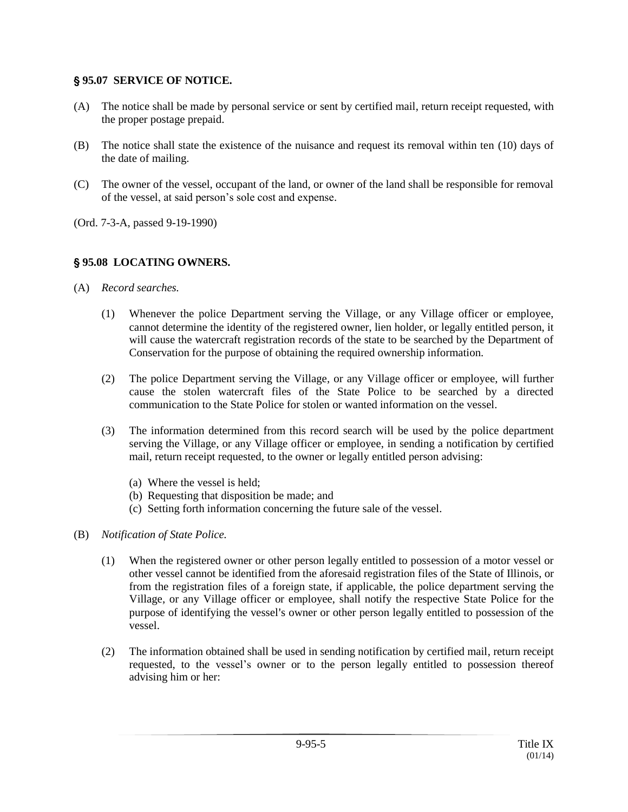#### ' **95.07 SERVICE OF NOTICE.**

- (A) The notice shall be made by personal service or sent by certified mail, return receipt requested, with the proper postage prepaid.
- (B) The notice shall state the existence of the nuisance and request its removal within ten (10) days of the date of mailing.
- (C) The owner of the vessel, occupant of the land, or owner of the land shall be responsible for removal of the vessel, at said person's sole cost and expense.
- (Ord. 7-3-A, passed 9-19-1990)

## ' **95.08 LOCATING OWNERS.**

- (A) *Record searches.*
	- (1) Whenever the police Department serving the Village, or any Village officer or employee, cannot determine the identity of the registered owner, lien holder, or legally entitled person, it will cause the watercraft registration records of the state to be searched by the Department of Conservation for the purpose of obtaining the required ownership information.
	- (2) The police Department serving the Village, or any Village officer or employee, will further cause the stolen watercraft files of the State Police to be searched by a directed communication to the State Police for stolen or wanted information on the vessel.
	- (3) The information determined from this record search will be used by the police department serving the Village, or any Village officer or employee, in sending a notification by certified mail, return receipt requested, to the owner or legally entitled person advising:
		- (a) Where the vessel is held;
		- (b) Requesting that disposition be made; and
		- (c) Setting forth information concerning the future sale of the vessel.
- (B) *Notification of State Police.*
	- (1) When the registered owner or other person legally entitled to possession of a motor vessel or other vessel cannot be identified from the aforesaid registration files of the State of Illinois, or from the registration files of a foreign state, if applicable, the police department serving the Village, or any Village officer or employee, shall notify the respective State Police for the purpose of identifying the vessel's owner or other person legally entitled to possession of the vessel.
	- (2) The information obtained shall be used in sending notification by certified mail, return receipt requested, to the vessel's owner or to the person legally entitled to possession thereof advising him or her: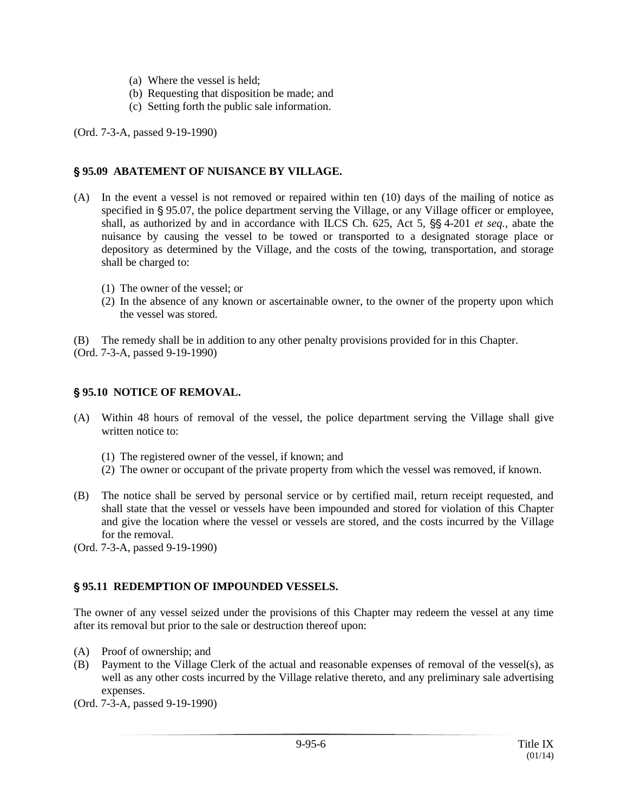- (a) Where the vessel is held;
- (b) Requesting that disposition be made; and
- (c) Setting forth the public sale information.

(Ord. 7-3-A, passed 9-19-1990)

#### ' **95.09 ABATEMENT OF NUISANCE BY VILLAGE.**

- (A) In the event a vessel is not removed or repaired within ten (10) days of the mailing of notice as specified in § 95.07, the police department serving the Village, or any Village officer or employee, shall, as authorized by and in accordance with ILCS Ch. 625, Act 5,  $\S$  4-201 *et seq.*, abate the nuisance by causing the vessel to be towed or transported to a designated storage place or depository as determined by the Village, and the costs of the towing, transportation, and storage shall be charged to:
	- (1) The owner of the vessel; or
	- (2) In the absence of any known or ascertainable owner, to the owner of the property upon which the vessel was stored.

(B) The remedy shall be in addition to any other penalty provisions provided for in this Chapter.

(Ord. 7-3-A, passed 9-19-1990)

#### ' **95.10 NOTICE OF REMOVAL.**

- (A) Within 48 hours of removal of the vessel, the police department serving the Village shall give written notice to:
	- (1) The registered owner of the vessel, if known; and
	- (2) The owner or occupant of the private property from which the vessel was removed, if known.
- (B) The notice shall be served by personal service or by certified mail, return receipt requested, and shall state that the vessel or vessels have been impounded and stored for violation of this Chapter and give the location where the vessel or vessels are stored, and the costs incurred by the Village for the removal.

(Ord. 7-3-A, passed 9-19-1990)

#### ' **95.11 REDEMPTION OF IMPOUNDED VESSELS.**

The owner of any vessel seized under the provisions of this Chapter may redeem the vessel at any time after its removal but prior to the sale or destruction thereof upon:

- (A) Proof of ownership; and
- (B) Payment to the Village Clerk of the actual and reasonable expenses of removal of the vessel(s), as well as any other costs incurred by the Village relative thereto, and any preliminary sale advertising expenses.
- (Ord. 7-3-A, passed 9-19-1990)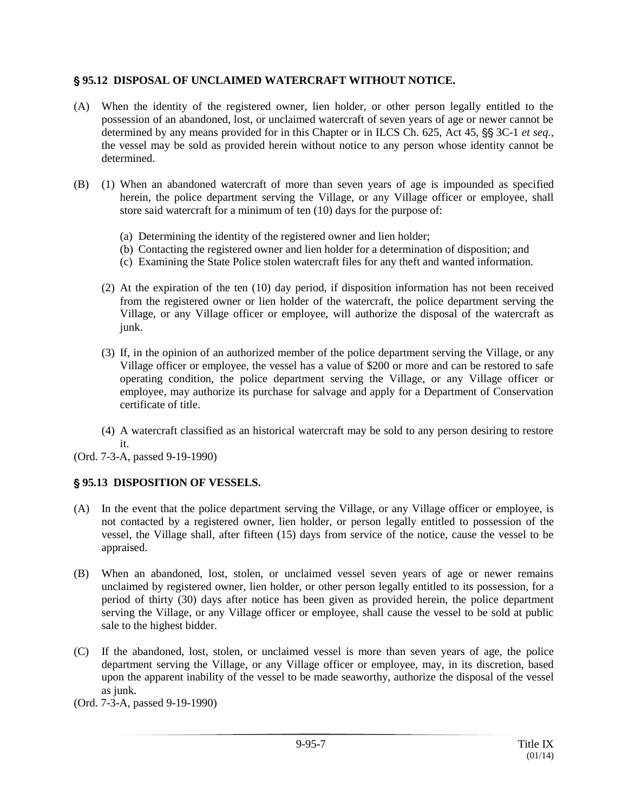#### ' **95.12 DISPOSAL OF UNCLAIMED WATERCRAFT WITHOUT NOTICE.**

- (A) When the identity of the registered owner, lien holder, or other person legally entitled to the possession of an abandoned, lost, or unclaimed watercraft of seven years of age or newer cannot be determined by any means provided for in this Chapter or in ILCS Ch. 625, Act 45, §§ 3C-1 *et seq.*, the vessel may be sold as provided herein without notice to any person whose identity cannot be determined.
- (B) (1) When an abandoned watercraft of more than seven years of age is impounded as specified herein, the police department serving the Village, or any Village officer or employee, shall store said watercraft for a minimum of ten (10) days for the purpose of:
	- (a) Determining the identity of the registered owner and lien holder;
	- (b) Contacting the registered owner and lien holder for a determination of disposition; and
	- (c) Examining the State Police stolen watercraft files for any theft and wanted information.
	- (2) At the expiration of the ten (10) day period, if disposition information has not been received from the registered owner or lien holder of the watercraft, the police department serving the Village, or any Village officer or employee, will authorize the disposal of the watercraft as junk.
	- (3) If, in the opinion of an authorized member of the police department serving the Village, or any Village officer or employee, the vessel has a value of \$200 or more and can be restored to safe operating condition, the police department serving the Village, or any Village officer or employee, may authorize its purchase for salvage and apply for a Department of Conservation certificate of title.
	- (4) A watercraft classified as an historical watercraft may be sold to any person desiring to restore it.
- (Ord. 7-3-A, passed 9-19-1990)

## ' **95.13 DISPOSITION OF VESSELS.**

- (A) In the event that the police department serving the Village, or any Village officer or employee, is not contacted by a registered owner, lien holder, or person legally entitled to possession of the vessel, the Village shall, after fifteen (15) days from service of the notice, cause the vessel to be appraised.
- (B) When an abandoned, lost, stolen, or unclaimed vessel seven years of age or newer remains unclaimed by registered owner, lien holder, or other person legally entitled to its possession, for a period of thirty (30) days after notice has been given as provided herein, the police department serving the Village, or any Village officer or employee, shall cause the vessel to be sold at public sale to the highest bidder.
- (C) If the abandoned, lost, stolen, or unclaimed vessel is more than seven years of age, the police department serving the Village, or any Village officer or employee, may, in its discretion, based upon the apparent inability of the vessel to be made seaworthy, authorize the disposal of the vessel as junk.
- (Ord. 7-3-A, passed 9-19-1990)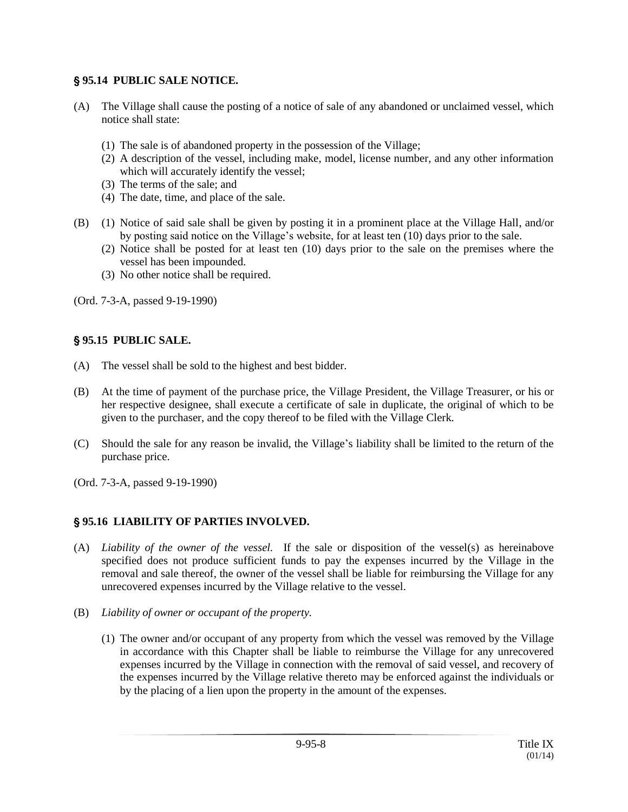## ' **95.14 PUBLIC SALE NOTICE.**

- (A) The Village shall cause the posting of a notice of sale of any abandoned or unclaimed vessel, which notice shall state:
	- (1) The sale is of abandoned property in the possession of the Village;
	- (2) A description of the vessel, including make, model, license number, and any other information which will accurately identify the vessel;
	- (3) The terms of the sale; and
	- (4) The date, time, and place of the sale.
- (B) (1) Notice of said sale shall be given by posting it in a prominent place at the Village Hall, and/or by posting said notice on the Village's website, for at least ten (10) days prior to the sale.
	- (2) Notice shall be posted for at least ten (10) days prior to the sale on the premises where the vessel has been impounded.
	- (3) No other notice shall be required.

(Ord. 7-3-A, passed 9-19-1990)

## ' **95.15 PUBLIC SALE.**

- (A) The vessel shall be sold to the highest and best bidder.
- (B) At the time of payment of the purchase price, the Village President, the Village Treasurer, or his or her respective designee, shall execute a certificate of sale in duplicate, the original of which to be given to the purchaser, and the copy thereof to be filed with the Village Clerk.
- (C) Should the sale for any reason be invalid, the Village's liability shall be limited to the return of the purchase price.
- (Ord. 7-3-A, passed 9-19-1990)

## ' **95.16 LIABILITY OF PARTIES INVOLVED.**

- (A) *Liability of the owner of the vessel.* If the sale or disposition of the vessel(s) as hereinabove specified does not produce sufficient funds to pay the expenses incurred by the Village in the removal and sale thereof, the owner of the vessel shall be liable for reimbursing the Village for any unrecovered expenses incurred by the Village relative to the vessel.
- (B) *Liability of owner or occupant of the property.*
	- (1) The owner and/or occupant of any property from which the vessel was removed by the Village in accordance with this Chapter shall be liable to reimburse the Village for any unrecovered expenses incurred by the Village in connection with the removal of said vessel, and recovery of the expenses incurred by the Village relative thereto may be enforced against the individuals or by the placing of a lien upon the property in the amount of the expenses.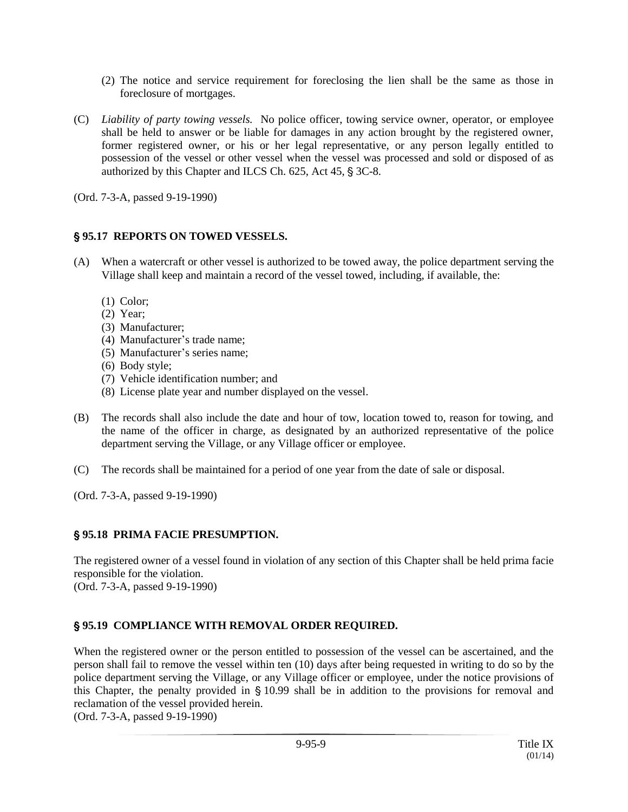- (2) The notice and service requirement for foreclosing the lien shall be the same as those in foreclosure of mortgages.
- (C) *Liability of party towing vessels.* No police officer, towing service owner, operator, or employee shall be held to answer or be liable for damages in any action brought by the registered owner, former registered owner, or his or her legal representative, or any person legally entitled to possession of the vessel or other vessel when the vessel was processed and sold or disposed of as authorized by this Chapter and ILCS Ch.  $625$ , Act  $45$ ,  $\frac{6}{5}$  3C-8.

(Ord. 7-3-A, passed 9-19-1990)

# ' **95.17 REPORTS ON TOWED VESSELS.**

- (A) When a watercraft or other vessel is authorized to be towed away, the police department serving the Village shall keep and maintain a record of the vessel towed, including, if available, the:
	- (1) Color;
	- (2) Year;
	- (3) Manufacturer;
	- (4) Manufacturer's trade name;
	- (5) Manufacturer's series name;
	- (6) Body style;
	- (7) Vehicle identification number; and
	- (8) License plate year and number displayed on the vessel.
- (B) The records shall also include the date and hour of tow, location towed to, reason for towing, and the name of the officer in charge, as designated by an authorized representative of the police department serving the Village, or any Village officer or employee.
- (C) The records shall be maintained for a period of one year from the date of sale or disposal.

(Ord. 7-3-A, passed 9-19-1990)

# ' **95.18 PRIMA FACIE PRESUMPTION.**

The registered owner of a vessel found in violation of any section of this Chapter shall be held prima facie responsible for the violation. (Ord. 7-3-A, passed 9-19-1990)

# ' **95.19 COMPLIANCE WITH REMOVAL ORDER REQUIRED.**

When the registered owner or the person entitled to possession of the vessel can be ascertained, and the person shall fail to remove the vessel within ten (10) days after being requested in writing to do so by the police department serving the Village, or any Village officer or employee, under the notice provisions of this Chapter, the penalty provided in  $\S$  10.99 shall be in addition to the provisions for removal and reclamation of the vessel provided herein.

(Ord. 7-3-A, passed 9-19-1990)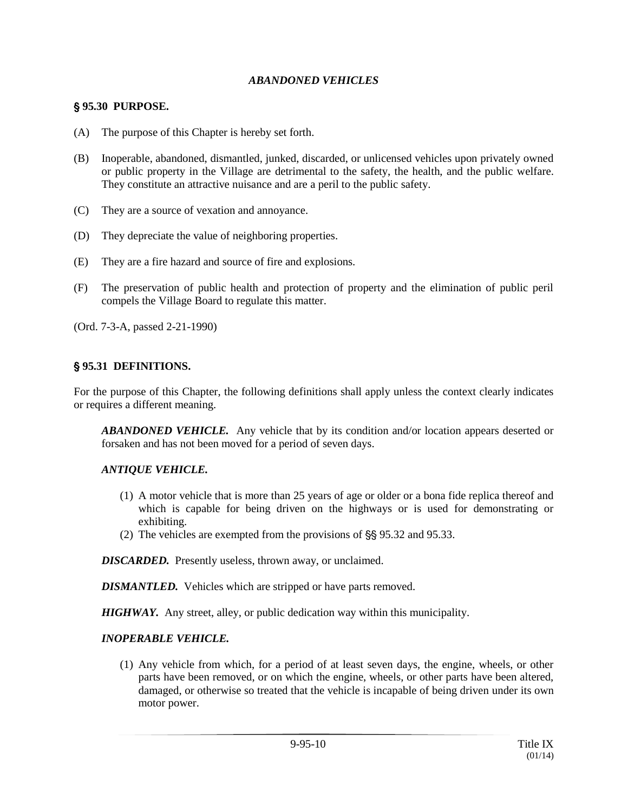#### *ABANDONED VEHICLES*

### ' **95.30 PURPOSE.**

- (A) The purpose of this Chapter is hereby set forth.
- (B) Inoperable, abandoned, dismantled, junked, discarded, or unlicensed vehicles upon privately owned or public property in the Village are detrimental to the safety, the health, and the public welfare. They constitute an attractive nuisance and are a peril to the public safety.
- (C) They are a source of vexation and annoyance.
- (D) They depreciate the value of neighboring properties.
- (E) They are a fire hazard and source of fire and explosions.
- (F) The preservation of public health and protection of property and the elimination of public peril compels the Village Board to regulate this matter.

(Ord. 7-3-A, passed 2-21-1990)

## ' **95.31 DEFINITIONS.**

For the purpose of this Chapter, the following definitions shall apply unless the context clearly indicates or requires a different meaning.

*ABANDONED VEHICLE.* Any vehicle that by its condition and/or location appears deserted or forsaken and has not been moved for a period of seven days.

## *ANTIQUE VEHICLE.*

- (1) A motor vehicle that is more than 25 years of age or older or a bona fide replica thereof and which is capable for being driven on the highways or is used for demonstrating or exhibiting.
- (2) The vehicles are exempted from the provisions of  $\S$  95.32 and 95.33.

*DISCARDED.* Presently useless, thrown away, or unclaimed.

*DISMANTLED.* Vehicles which are stripped or have parts removed.

*HIGHWAY.* Any street, alley, or public dedication way within this municipality.

#### *INOPERABLE VEHICLE.*

(1) Any vehicle from which, for a period of at least seven days, the engine, wheels, or other parts have been removed, or on which the engine, wheels, or other parts have been altered, damaged, or otherwise so treated that the vehicle is incapable of being driven under its own motor power.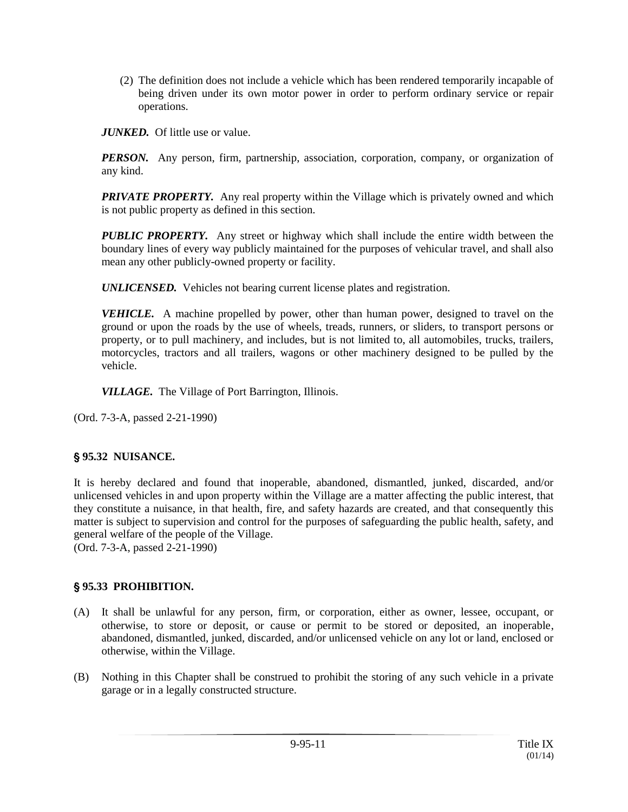(2) The definition does not include a vehicle which has been rendered temporarily incapable of being driven under its own motor power in order to perform ordinary service or repair operations.

*JUNKED.* Of little use or value.

*PERSON.* Any person, firm, partnership, association, corporation, company, or organization of any kind.

**PRIVATE PROPERTY.** Any real property within the Village which is privately owned and which is not public property as defined in this section.

*PUBLIC PROPERTY.* Any street or highway which shall include the entire width between the boundary lines of every way publicly maintained for the purposes of vehicular travel, and shall also mean any other publicly-owned property or facility.

*UNLICENSED.* Vehicles not bearing current license plates and registration.

*VEHICLE.* A machine propelled by power, other than human power, designed to travel on the ground or upon the roads by the use of wheels, treads, runners, or sliders, to transport persons or property, or to pull machinery, and includes, but is not limited to, all automobiles, trucks, trailers, motorcycles, tractors and all trailers, wagons or other machinery designed to be pulled by the vehicle.

*VILLAGE.* The Village of Port Barrington, Illinois.

(Ord. 7-3-A, passed 2-21-1990)

## ' **95.32 NUISANCE.**

It is hereby declared and found that inoperable, abandoned, dismantled, junked, discarded, and/or unlicensed vehicles in and upon property within the Village are a matter affecting the public interest, that they constitute a nuisance, in that health, fire, and safety hazards are created, and that consequently this matter is subject to supervision and control for the purposes of safeguarding the public health, safety, and general welfare of the people of the Village.

(Ord. 7-3-A, passed 2-21-1990)

## ' **95.33 PROHIBITION.**

- (A) It shall be unlawful for any person, firm, or corporation, either as owner, lessee, occupant, or otherwise, to store or deposit, or cause or permit to be stored or deposited, an inoperable, abandoned, dismantled, junked, discarded, and/or unlicensed vehicle on any lot or land, enclosed or otherwise, within the Village.
- (B) Nothing in this Chapter shall be construed to prohibit the storing of any such vehicle in a private garage or in a legally constructed structure.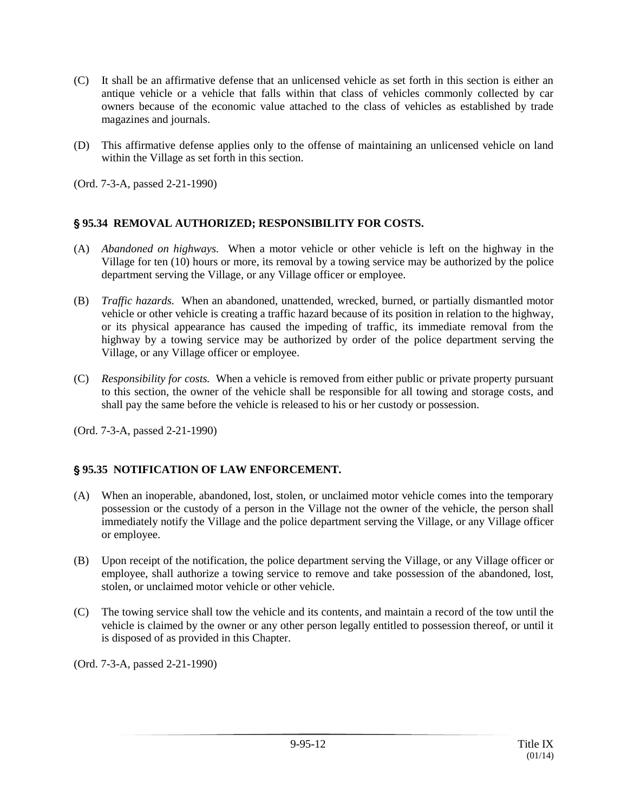- (C) It shall be an affirmative defense that an unlicensed vehicle as set forth in this section is either an antique vehicle or a vehicle that falls within that class of vehicles commonly collected by car owners because of the economic value attached to the class of vehicles as established by trade magazines and journals.
- (D) This affirmative defense applies only to the offense of maintaining an unlicensed vehicle on land within the Village as set forth in this section.

(Ord. 7-3-A, passed 2-21-1990)

## ' **95.34 REMOVAL AUTHORIZED; RESPONSIBILITY FOR COSTS.**

- (A) *Abandoned on highways.* When a motor vehicle or other vehicle is left on the highway in the Village for ten (10) hours or more, its removal by a towing service may be authorized by the police department serving the Village, or any Village officer or employee.
- (B) *Traffic hazards.* When an abandoned, unattended, wrecked, burned, or partially dismantled motor vehicle or other vehicle is creating a traffic hazard because of its position in relation to the highway, or its physical appearance has caused the impeding of traffic, its immediate removal from the highway by a towing service may be authorized by order of the police department serving the Village, or any Village officer or employee.
- (C) *Responsibility for costs.* When a vehicle is removed from either public or private property pursuant to this section, the owner of the vehicle shall be responsible for all towing and storage costs, and shall pay the same before the vehicle is released to his or her custody or possession.

(Ord. 7-3-A, passed 2-21-1990)

## ' **95.35 NOTIFICATION OF LAW ENFORCEMENT.**

- (A) When an inoperable, abandoned, lost, stolen, or unclaimed motor vehicle comes into the temporary possession or the custody of a person in the Village not the owner of the vehicle, the person shall immediately notify the Village and the police department serving the Village, or any Village officer or employee.
- (B) Upon receipt of the notification, the police department serving the Village, or any Village officer or employee, shall authorize a towing service to remove and take possession of the abandoned, lost, stolen, or unclaimed motor vehicle or other vehicle.
- (C) The towing service shall tow the vehicle and its contents, and maintain a record of the tow until the vehicle is claimed by the owner or any other person legally entitled to possession thereof, or until it is disposed of as provided in this Chapter.

(Ord. 7-3-A, passed 2-21-1990)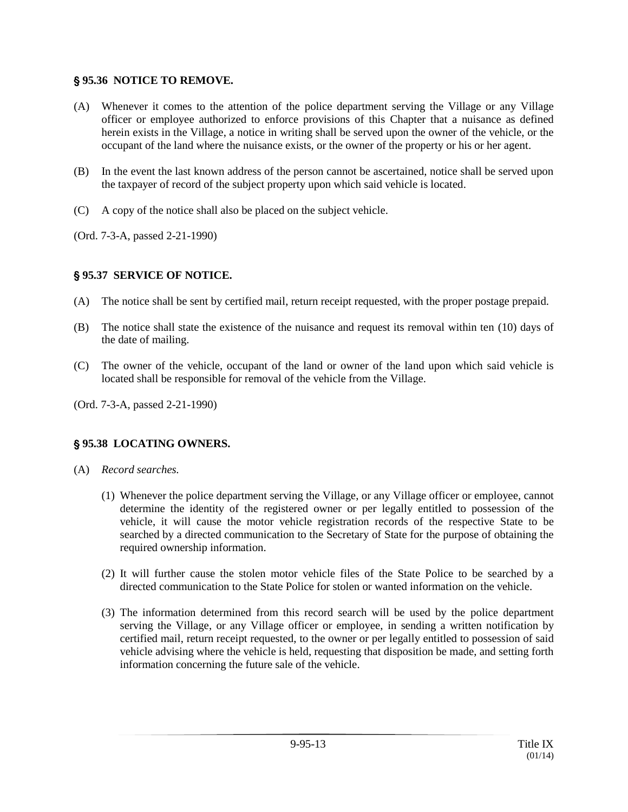#### ' **95.36 NOTICE TO REMOVE.**

- (A) Whenever it comes to the attention of the police department serving the Village or any Village officer or employee authorized to enforce provisions of this Chapter that a nuisance as defined herein exists in the Village, a notice in writing shall be served upon the owner of the vehicle, or the occupant of the land where the nuisance exists, or the owner of the property or his or her agent.
- (B) In the event the last known address of the person cannot be ascertained, notice shall be served upon the taxpayer of record of the subject property upon which said vehicle is located.
- (C) A copy of the notice shall also be placed on the subject vehicle.
- (Ord. 7-3-A, passed 2-21-1990)

# ' **95.37 SERVICE OF NOTICE.**

- (A) The notice shall be sent by certified mail, return receipt requested, with the proper postage prepaid.
- (B) The notice shall state the existence of the nuisance and request its removal within ten (10) days of the date of mailing.
- (C) The owner of the vehicle, occupant of the land or owner of the land upon which said vehicle is located shall be responsible for removal of the vehicle from the Village.
- (Ord. 7-3-A, passed 2-21-1990)

# ' **95.38 LOCATING OWNERS.**

- (A) *Record searches.*
	- (1) Whenever the police department serving the Village, or any Village officer or employee, cannot determine the identity of the registered owner or per legally entitled to possession of the vehicle, it will cause the motor vehicle registration records of the respective State to be searched by a directed communication to the Secretary of State for the purpose of obtaining the required ownership information.
	- (2) It will further cause the stolen motor vehicle files of the State Police to be searched by a directed communication to the State Police for stolen or wanted information on the vehicle.
	- (3) The information determined from this record search will be used by the police department serving the Village, or any Village officer or employee, in sending a written notification by certified mail, return receipt requested, to the owner or per legally entitled to possession of said vehicle advising where the vehicle is held, requesting that disposition be made, and setting forth information concerning the future sale of the vehicle.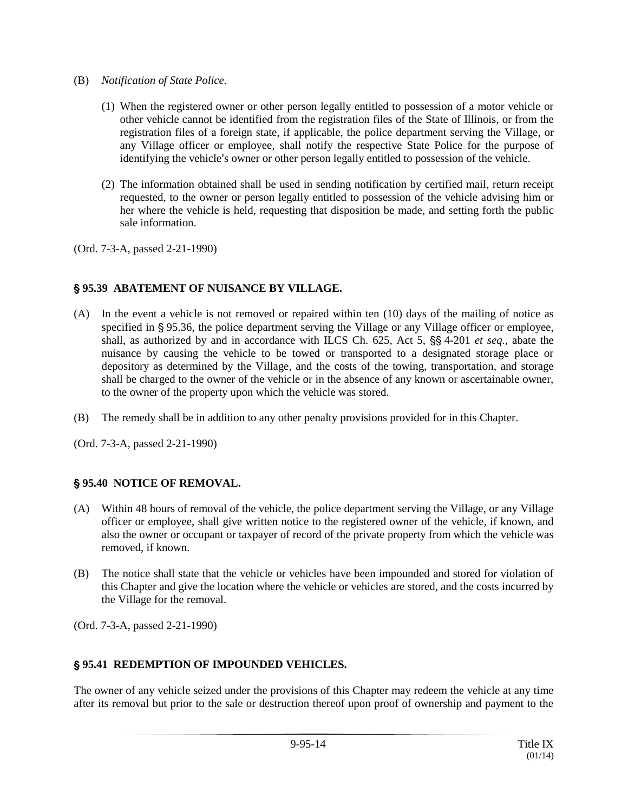- (B) *Notification of State Police*.
	- (1) When the registered owner or other person legally entitled to possession of a motor vehicle or other vehicle cannot be identified from the registration files of the State of Illinois, or from the registration files of a foreign state, if applicable, the police department serving the Village, or any Village officer or employee, shall notify the respective State Police for the purpose of identifying the vehicle's owner or other person legally entitled to possession of the vehicle.
	- (2) The information obtained shall be used in sending notification by certified mail, return receipt requested, to the owner or person legally entitled to possession of the vehicle advising him or her where the vehicle is held, requesting that disposition be made, and setting forth the public sale information.

(Ord. 7-3-A, passed 2-21-1990)

# ' **95.39 ABATEMENT OF NUISANCE BY VILLAGE.**

- (A) In the event a vehicle is not removed or repaired within ten (10) days of the mailing of notice as specified in § 95.36, the police department serving the Village or any Village officer or employee, shall, as authorized by and in accordance with ILCS Ch. 625, Act 5,  $\frac{65}{10}$  4-201 *et seq.*, abate the nuisance by causing the vehicle to be towed or transported to a designated storage place or depository as determined by the Village, and the costs of the towing, transportation, and storage shall be charged to the owner of the vehicle or in the absence of any known or ascertainable owner, to the owner of the property upon which the vehicle was stored.
- (B) The remedy shall be in addition to any other penalty provisions provided for in this Chapter.

(Ord. 7-3-A, passed 2-21-1990)

## ' **95.40 NOTICE OF REMOVAL.**

- (A) Within 48 hours of removal of the vehicle, the police department serving the Village, or any Village officer or employee, shall give written notice to the registered owner of the vehicle, if known, and also the owner or occupant or taxpayer of record of the private property from which the vehicle was removed, if known.
- (B) The notice shall state that the vehicle or vehicles have been impounded and stored for violation of this Chapter and give the location where the vehicle or vehicles are stored, and the costs incurred by the Village for the removal.

(Ord. 7-3-A, passed 2-21-1990)

## ' **95.41 REDEMPTION OF IMPOUNDED VEHICLES.**

The owner of any vehicle seized under the provisions of this Chapter may redeem the vehicle at any time after its removal but prior to the sale or destruction thereof upon proof of ownership and payment to the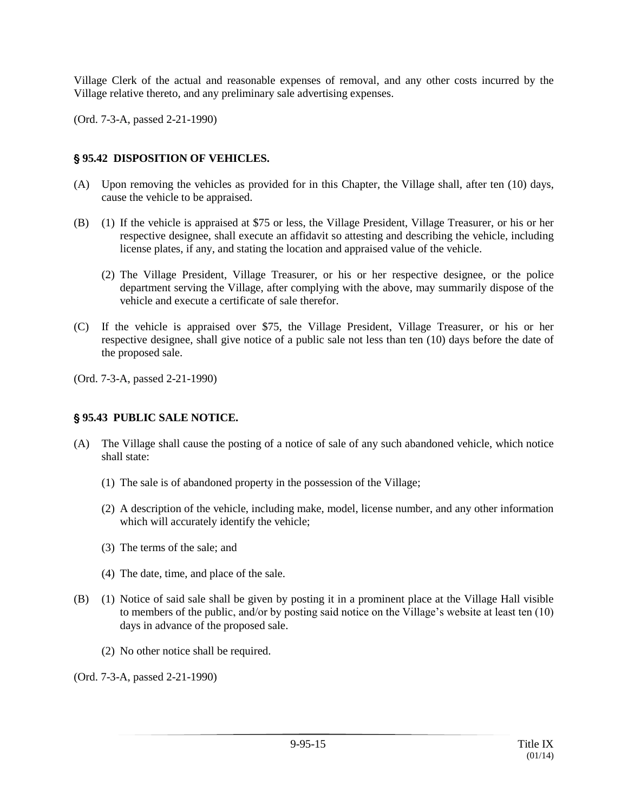Village Clerk of the actual and reasonable expenses of removal, and any other costs incurred by the Village relative thereto, and any preliminary sale advertising expenses.

(Ord. 7-3-A, passed 2-21-1990)

### ' **95.42 DISPOSITION OF VEHICLES.**

- (A) Upon removing the vehicles as provided for in this Chapter, the Village shall, after ten (10) days, cause the vehicle to be appraised.
- (B) (1) If the vehicle is appraised at \$75 or less, the Village President, Village Treasurer, or his or her respective designee, shall execute an affidavit so attesting and describing the vehicle, including license plates, if any, and stating the location and appraised value of the vehicle.
	- (2) The Village President, Village Treasurer, or his or her respective designee, or the police department serving the Village, after complying with the above, may summarily dispose of the vehicle and execute a certificate of sale therefor.
- (C) If the vehicle is appraised over \$75, the Village President, Village Treasurer, or his or her respective designee, shall give notice of a public sale not less than ten (10) days before the date of the proposed sale.

(Ord. 7-3-A, passed 2-21-1990)

## ' **95.43 PUBLIC SALE NOTICE.**

- (A) The Village shall cause the posting of a notice of sale of any such abandoned vehicle, which notice shall state:
	- (1) The sale is of abandoned property in the possession of the Village;
	- (2) A description of the vehicle, including make, model, license number, and any other information which will accurately identify the vehicle;
	- (3) The terms of the sale; and
	- (4) The date, time, and place of the sale.
- (B) (1) Notice of said sale shall be given by posting it in a prominent place at the Village Hall visible to members of the public, and/or by posting said notice on the Village's website at least ten (10) days in advance of the proposed sale.
	- (2) No other notice shall be required.

(Ord. 7-3-A, passed 2-21-1990)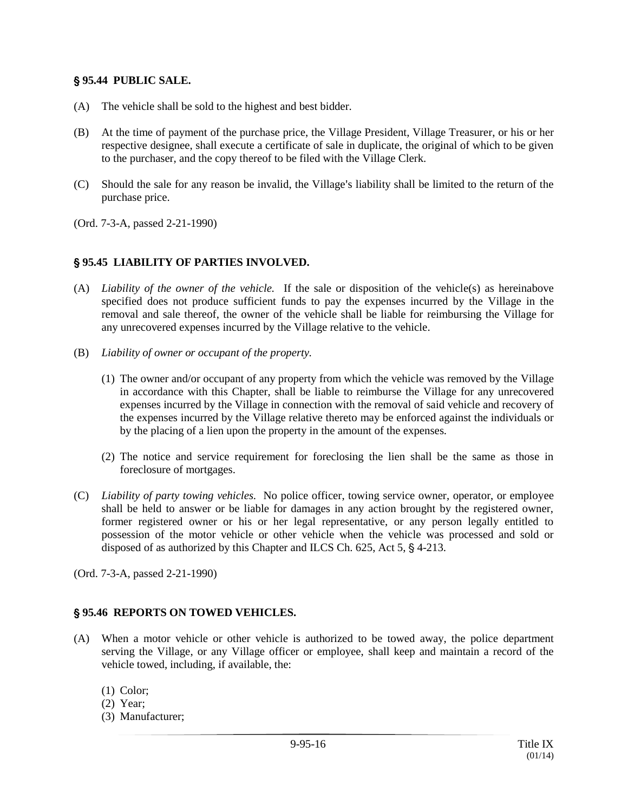#### ' **95.44 PUBLIC SALE.**

- (A) The vehicle shall be sold to the highest and best bidder.
- (B) At the time of payment of the purchase price, the Village President, Village Treasurer, or his or her respective designee, shall execute a certificate of sale in duplicate, the original of which to be given to the purchaser, and the copy thereof to be filed with the Village Clerk.
- (C) Should the sale for any reason be invalid, the Village's liability shall be limited to the return of the purchase price.
- (Ord. 7-3-A, passed 2-21-1990)

#### ' **95.45 LIABILITY OF PARTIES INVOLVED.**

- (A) *Liability of the owner of the vehicle.* If the sale or disposition of the vehicle(s) as hereinabove specified does not produce sufficient funds to pay the expenses incurred by the Village in the removal and sale thereof, the owner of the vehicle shall be liable for reimbursing the Village for any unrecovered expenses incurred by the Village relative to the vehicle.
- (B) *Liability of owner or occupant of the property.*
	- (1) The owner and/or occupant of any property from which the vehicle was removed by the Village in accordance with this Chapter, shall be liable to reimburse the Village for any unrecovered expenses incurred by the Village in connection with the removal of said vehicle and recovery of the expenses incurred by the Village relative thereto may be enforced against the individuals or by the placing of a lien upon the property in the amount of the expenses.
	- (2) The notice and service requirement for foreclosing the lien shall be the same as those in foreclosure of mortgages.
- (C) *Liability of party towing vehicles.* No police officer, towing service owner, operator, or employee shall be held to answer or be liable for damages in any action brought by the registered owner, former registered owner or his or her legal representative, or any person legally entitled to possession of the motor vehicle or other vehicle when the vehicle was processed and sold or disposed of as authorized by this Chapter and ILCS Ch.  $625$ , Act  $5$ ,  $§$  4-213.
- (Ord. 7-3-A, passed 2-21-1990)

#### ' **95.46 REPORTS ON TOWED VEHICLES.**

- (A) When a motor vehicle or other vehicle is authorized to be towed away, the police department serving the Village, or any Village officer or employee, shall keep and maintain a record of the vehicle towed, including, if available, the:
	- (1) Color;
	- (2) Year;
	- (3) Manufacturer;